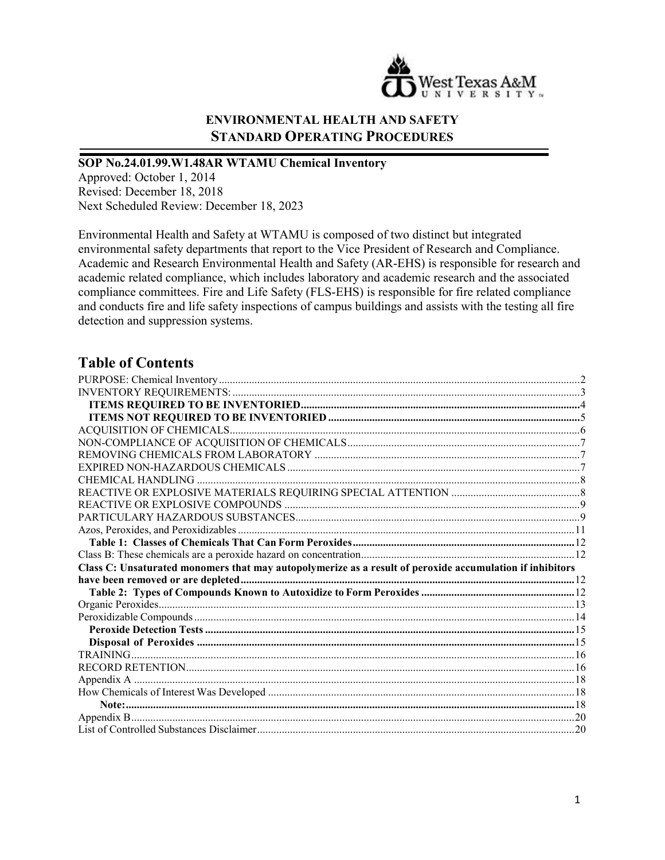

# **ENVIRONMENTAL HEALTH AND SAFETY STANDARD OPERATING PROCEDURES**

#### **SOP No.24.01.99.W1.48AR WTAMU Chemical Inventory**

Approved: October 1, 2014 Revised: December 18, 2018 Next Scheduled Review: December 18, 2023

Environmental Health and Safety at WTAMU is composed of two distinct but integrated environmental safety departments that report to the Vice President of Research and Compliance. Academic and Research Environmental Health and Safety (AR-EHS) is responsible for research and academic related compliance, which includes laboratory and academic research and the associated compliance committees. Fire and Life Safety (FLS-EHS) is responsible for fire related compliance and conducts fire and life safety inspections of campus buildings and assists with the testing all fire detection and suppression systems.

# **Table of Contents**

| Class C: Unsaturated monomers that may autopolymerize as a result of peroxide accumulation if inhibitors |  |
|----------------------------------------------------------------------------------------------------------|--|
|                                                                                                          |  |
|                                                                                                          |  |
|                                                                                                          |  |
|                                                                                                          |  |
|                                                                                                          |  |
|                                                                                                          |  |
|                                                                                                          |  |
|                                                                                                          |  |
|                                                                                                          |  |
|                                                                                                          |  |
|                                                                                                          |  |
|                                                                                                          |  |
|                                                                                                          |  |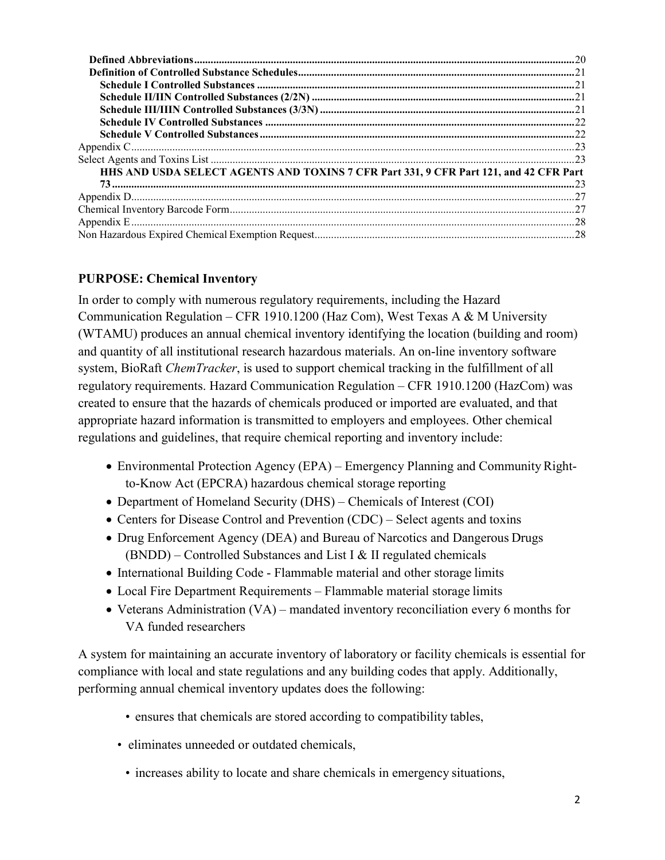| HHS AND USDA SELECT AGENTS AND TOXINS 7 CFR Part 331, 9 CFR Part 121, and 42 CFR Part |  |
|---------------------------------------------------------------------------------------|--|
|                                                                                       |  |
|                                                                                       |  |
|                                                                                       |  |
|                                                                                       |  |
|                                                                                       |  |

# <span id="page-1-0"></span>**PURPOSE: Chemical Inventory**

In order to comply with numerous regulatory requirements, including the Hazard Communication Regulation – CFR 1910.1200 (Haz Com), West Texas A & M University (WTAMU) produces an annual chemical inventory identifying the location (building and room) and quantity of all institutional research hazardous materials. An on-line inventory software system, BioRaft *ChemTracker*, is used to support chemical tracking in the fulfillment of all regulatory requirements. Hazard Communication Regulation – CFR 1910.1200 (HazCom) was created to ensure that the hazards of chemicals produced or imported are evaluated, and that appropriate hazard information is transmitted to employers and employees. Other chemical regulations and guidelines, that require chemical reporting and inventory include:

- Environmental Protection Agency (EPA) Emergency Planning and Community Rightto-Know Act (EPCRA) hazardous chemical storage reporting
- Department of Homeland Security (DHS) Chemicals of Interest (COI)
- Centers for Disease Control and Prevention (CDC) Select agents and toxins
- Drug Enforcement Agency (DEA) and Bureau of Narcotics and Dangerous Drugs  $(BNDD)$  – Controlled Substances and List I & II regulated chemicals
- International Building Code Flammable material and other storage limits
- Local Fire Department Requirements Flammable material storage limits
- Veterans Administration (VA) mandated inventory reconciliation every 6 months for VA funded researchers

A system for maintaining an accurate inventory of laboratory or facility chemicals is essential for compliance with local and state regulations and any building codes that apply. Additionally, performing annual chemical inventory updates does the following:

- ensures that chemicals are stored according to compatibility tables,
- eliminates unneeded or outdated chemicals,
	- increases ability to locate and share chemicals in emergency situations,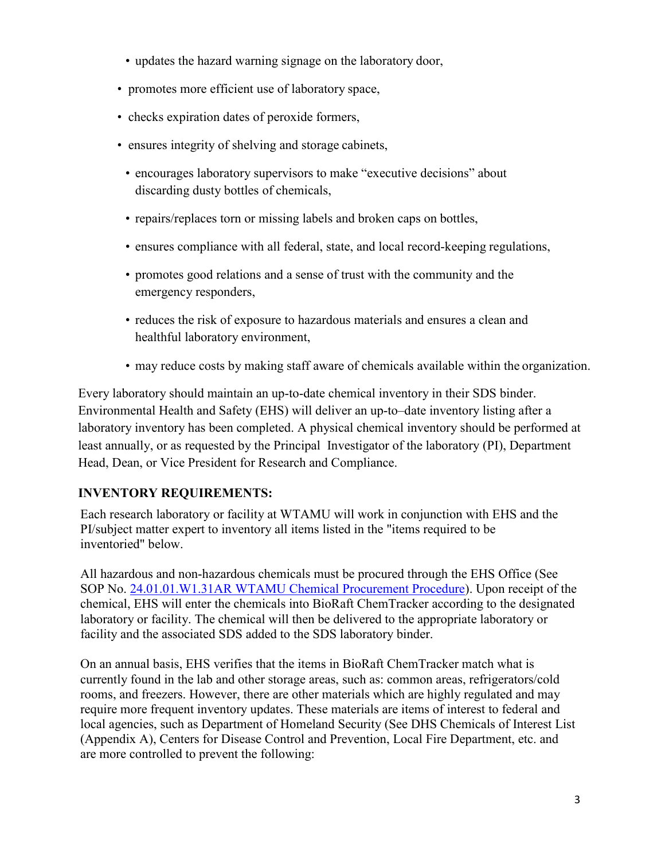- updates the hazard warning signage on the laboratory door,
- promotes more efficient use of laboratory space,
- checks expiration dates of peroxide formers,
- ensures integrity of shelving and storage cabinets,
	- encourages laboratory supervisors to make "executive decisions" about discarding dusty bottles of chemicals,
	- repairs/replaces torn or missing labels and broken caps on bottles,
	- ensures compliance with all federal, state, and local record-keeping regulations,
	- promotes good relations and a sense of trust with the community and the emergency responders,
	- reduces the risk of exposure to hazardous materials and ensures a clean and healthful laboratory environment,
	- may reduce costs by making staff aware of chemicals available within the organization.

Every laboratory should maintain an up-to-date chemical inventory in their SDS binder. Environmental Health and Safety (EHS) will deliver an up-to–date inventory listing after a laboratory inventory has been completed. A physical chemical inventory should be performed at least annually, or as requested by the Principal Investigator of the laboratory (PI), Department Head, Dean, or Vice President for Research and Compliance.

#### <span id="page-2-0"></span>**INVENTORY REQUIREMENTS:**

Each research laboratory or facility at WTAMU will work in conjunction with EHS and the PI/subject matter expert to inventory all items listed in the "items required to be inventoried" below.

All hazardous and non-hazardous chemicals must be procured through the EHS Office (See SOP No. [24.01.01.W1.31AR WTAMU Chemical Procurement Procedure\)](http://www.wtamu.edu/environmental_safety/faculty-sop.aspx#0035). Upon receipt of the chemical, EHS will enter the chemicals into BioRaft ChemTracker according to the designated laboratory or facility. The chemical will then be delivered to the appropriate laboratory or facility and the associated SDS added to the SDS laboratory binder.

On an annual basis, EHS verifies that the items in BioRaft ChemTracker match what is currently found in the lab and other storage areas, such as: common areas, refrigerators/cold rooms, and freezers. However, there are other materials which are highly regulated and may require more frequent inventory updates. These materials are items of interest to federal and local agencies, such as Department of Homeland Security (See DHS Chemicals of Interest List (Appendix A), Centers for Disease Control and Prevention, Local Fire Department, etc. and are more controlled to prevent the following: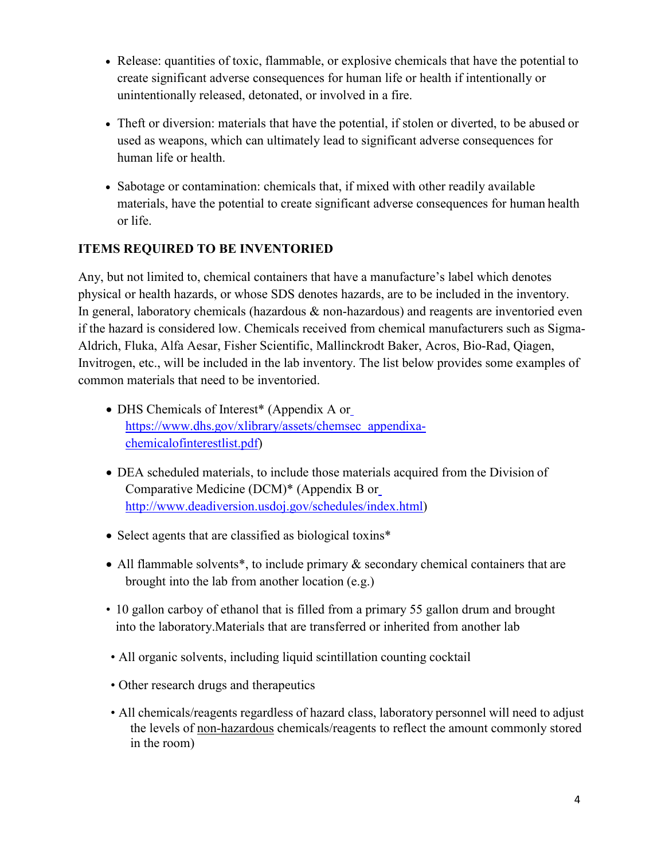- Release: quantities of toxic, flammable, or explosive chemicals that have the potential to create significant adverse consequences for human life or health if intentionally or unintentionally released, detonated, or involved in a fire.
- Theft or diversion: materials that have the potential, if stolen or diverted, to be abused or used as weapons, which can ultimately lead to significant adverse consequences for human life or health.
- Sabotage or contamination: chemicals that, if mixed with other readily available materials, have the potential to create significant adverse consequences for human health or life.

# <span id="page-3-0"></span>**ITEMS REQUIRED TO BE INVENTORIED**

Any, but not limited to, chemical containers that have a manufacture's label which denotes physical or health hazards, or whose SDS denotes hazards, are to be included in the inventory. In general, laboratory chemicals (hazardous & non-hazardous) and reagents are inventoried even if the hazard is considered low. Chemicals received from chemical manufacturers such as Sigma-Aldrich, Fluka, Alfa Aesar, Fisher Scientific, Mallinckrodt Baker, Acros, Bio-Rad, Qiagen, Invitrogen, etc., will be included in the lab inventory. The list below provides some examples of common materials that need to be inventoried.

- DHS Chemicals of Interest<sup>\*</sup> (Appendix A or [https://www.dhs.gov/xlibrary/assets/chemsec\\_appendixa](https://www.dhs.gov/xlibrary/assets/chemsec_appendixa-chemicalofinterestlist.pdf)[chemicalofinterestlist.pdf\)](https://www.dhs.gov/xlibrary/assets/chemsec_appendixa-chemicalofinterestlist.pdf)
- DEA scheduled materials, to include those materials acquired from the Division of Comparative Medicine (DCM)\* (Appendix B or [http://www.deadiversion.usdoj.gov/schedules/index.html\)](http://www.deadiversion.usdoj.gov/schedules/index.html)
- Select agents that are classified as biological toxins<sup>\*</sup>
- All flammable solvents<sup>\*</sup>, to include primary  $\&$  secondary chemical containers that are brought into the lab from another location (e.g.)
- 10 gallon carboy of ethanol that is filled from a primary 55 gallon drum and brought into the laboratory.Materials that are transferred or inherited from another lab
- All organic solvents, including liquid scintillation counting cocktail
- Other research drugs and therapeutics
- All chemicals/reagents regardless of hazard class, laboratory personnel will need to adjust the levels of non-hazardous chemicals/reagents to reflect the amount commonly stored in the room)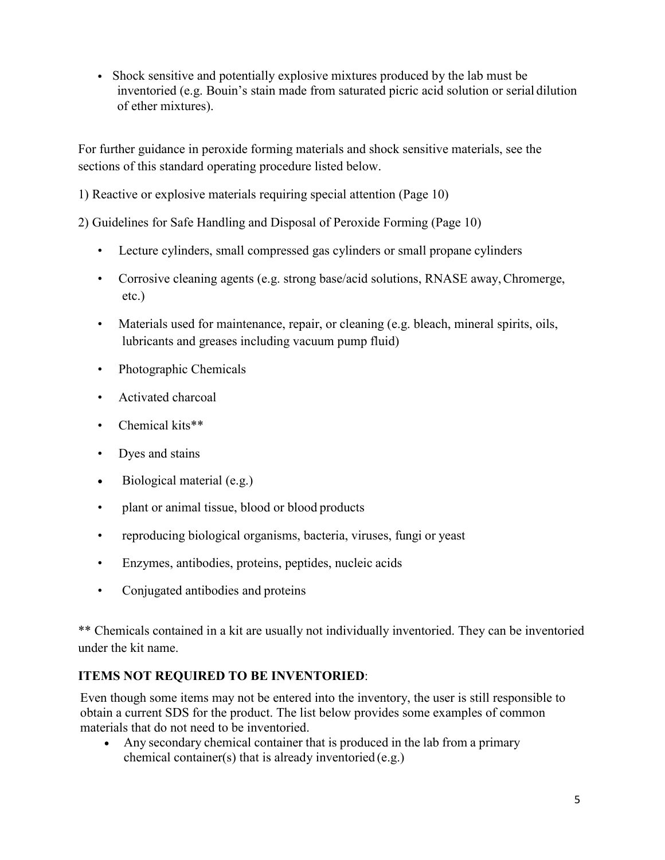Shock sensitive and potentially explosive mixtures produced by the lab must be inventoried (e.g. Bouin's stain made from saturated picric acid solution or serial dilution of ether mixtures).

For further guidance in peroxide forming materials and shock sensitive materials, see the sections of this standard operating procedure listed below.

1) Reactive or explosive materials requiring special attention (Page 10)

2) Guidelines for Safe Handling and Disposal of Peroxide Forming (Page 10)

- Lecture cylinders, small compressed gas cylinders or small propane cylinders
- Corrosive cleaning agents (e.g. strong base/acid solutions, RNASE away,Chromerge, etc.)
- Materials used for maintenance, repair, or cleaning (e.g. bleach, mineral spirits, oils, lubricants and greases including vacuum pump fluid)
- Photographic Chemicals
- Activated charcoal
- Chemical kits\*\*
- Dyes and stains
- Biological material (e.g.)
- plant or animal tissue, blood or blood products
- reproducing biological organisms, bacteria, viruses, fungi or yeast
- Enzymes, antibodies, proteins, peptides, nucleic acids
- Conjugated antibodies and proteins

\*\* Chemicals contained in a kit are usually not individually inventoried. They can be inventoried under the kit name.

# <span id="page-4-0"></span>**ITEMS NOT REQUIRED TO BE INVENTORIED**:

Even though some items may not be entered into the inventory, the user is still responsible to obtain a current SDS for the product. The list below provides some examples of common materials that do not need to be inventoried.

• Any secondary chemical container that is produced in the lab from a primary chemical container(s) that is already inventoried (e.g.)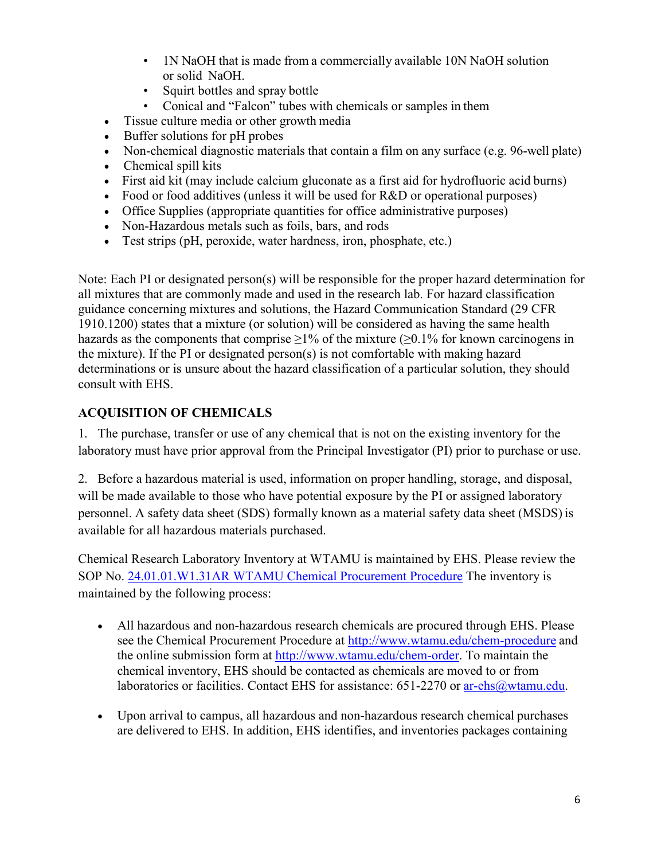- 1N NaOH that is made from a commercially available 10N NaOH solution or solid NaOH.
- Squirt bottles and spray bottle
- Conical and "Falcon" tubes with chemicals or samples in them
- Tissue culture media or other growth media
- Buffer solutions for pH probes
- Non-chemical diagnostic materials that contain a film on any surface (e.g. 96-well plate)
- Chemical spill kits
- First aid kit (may include calcium gluconate as a first aid for hydrofluoric acid burns)
- Food or food additives (unless it will be used for R&D or operational purposes)
- Office Supplies (appropriate quantities for office administrative purposes)
- Non-Hazardous metals such as foils, bars, and rods
- Test strips (pH, peroxide, water hardness, iron, phosphate, etc.)

Note: Each PI or designated person(s) will be responsible for the proper hazard determination for all mixtures that are commonly made and used in the research lab. For hazard classification guidance concerning mixtures and solutions, the Hazard Communication Standard (29 CFR 1910.1200) states that a mixture (or solution) will be considered as having the same health hazards as the components that comprise  $\geq$ 1% of the mixture ( $\geq$ 0.1% for known carcinogens in the mixture). If the PI or designated person(s) is not comfortable with making hazard determinations or is unsure about the hazard classification of a particular solution, they should consult with EHS.

# <span id="page-5-0"></span>**ACQUISITION OF CHEMICALS**

1. The purchase, transfer or use of any chemical that is not on the existing inventory for the laboratory must have prior approval from the Principal Investigator (PI) prior to purchase or use.

2. Before a hazardous material is used, information on proper handling, storage, and disposal, will be made available to those who have potential exposure by the PI or assigned laboratory personnel. A safety data sheet (SDS) formally known as a material safety data sheet (MSDS) is available for all hazardous materials purchased.

Chemical Research Laboratory Inventory at WTAMU is maintained by EHS. Please review the SOP No. [24.01.01.W1.31AR WTAMU Chemical Procurement Procedure](http://www.wtamu.edu/environmental_safety/faculty-sop.aspx#0035) The inventory is maintained by the following process:

- All hazardous and non-hazardous research chemicals are procured through EHS. Please see the Chemical Procurement Procedure at [http://www.wtamu.edu/chem-procedure](http://www.wtamu.edu/webres/File/Academics/Graduate%20School/AR-EHS/SOPs/SOPS%20with%20correct%20title/24.01.01.W1.31AR%20Chemical%20Procurement.pdf) and the online submission form at [http://www.wtamu.edu/chem-order.](http://www.wtamu.edu/chem-order) To maintain the chemical inventory, EHS should be contacted as chemicals are moved to or from laboratories or facilities. Contact EHS for assistance:  $651-2270$  or ar-ehs $@$ wtamu.edu.
- Upon arrival to campus, all hazardous and non-hazardous research chemical purchases are delivered to EHS. In addition, EHS identifies, and inventories packages containing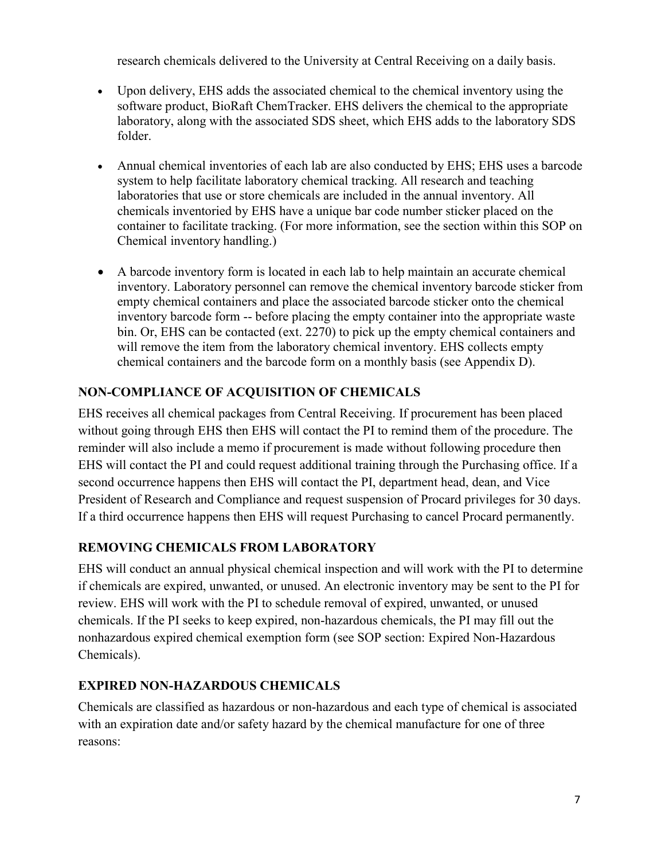research chemicals delivered to the University at Central Receiving on a daily basis.

- Upon delivery, EHS adds the associated chemical to the chemical inventory using the software product, BioRaft ChemTracker. EHS delivers the chemical to the appropriate laboratory, along with the associated SDS sheet, which EHS adds to the laboratory SDS folder.
- Annual chemical inventories of each lab are also conducted by EHS; EHS uses a barcode system to help facilitate laboratory chemical tracking. All research and teaching laboratories that use or store chemicals are included in the annual inventory. All chemicals inventoried by EHS have a unique bar code number sticker placed on the container to facilitate tracking. (For more information, see the section within this SOP on Chemical inventory handling.)
- A barcode inventory form is located in each lab to help maintain an accurate chemical inventory. Laboratory personnel can remove the chemical inventory barcode sticker from empty chemical containers and place the associated barcode sticker onto the chemical inventory barcode form -- before placing the empty container into the appropriate waste bin. Or, EHS can be contacted (ext. 2270) to pick up the empty chemical containers and will remove the item from the laboratory chemical inventory. EHS collects empty chemical containers and the barcode form on a monthly basis (see Appendix D).

# <span id="page-6-0"></span>**NON-COMPLIANCE OF ACQUISITION OF CHEMICALS**

EHS receives all chemical packages from Central Receiving. If procurement has been placed without going through EHS then EHS will contact the PI to remind them of the procedure. The reminder will also include a memo if procurement is made without following procedure then EHS will contact the PI and could request additional training through the Purchasing office. If a second occurrence happens then EHS will contact the PI, department head, dean, and Vice President of Research and Compliance and request suspension of Procard privileges for 30 days. If a third occurrence happens then EHS will request Purchasing to cancel Procard permanently.

# <span id="page-6-1"></span>**REMOVING CHEMICALS FROM LABORATORY**

EHS will conduct an annual physical chemical inspection and will work with the PI to determine if chemicals are expired, unwanted, or unused. An electronic inventory may be sent to the PI for review. EHS will work with the PI to schedule removal of expired, unwanted, or unused chemicals. If the PI seeks to keep expired, non-hazardous chemicals, the PI may fill out the nonhazardous expired chemical exemption form (see SOP section: Expired Non-Hazardous Chemicals).

#### <span id="page-6-2"></span>**EXPIRED NON-HAZARDOUS CHEMICALS**

Chemicals are classified as hazardous or non-hazardous and each type of chemical is associated with an expiration date and/or safety hazard by the chemical manufacture for one of three reasons: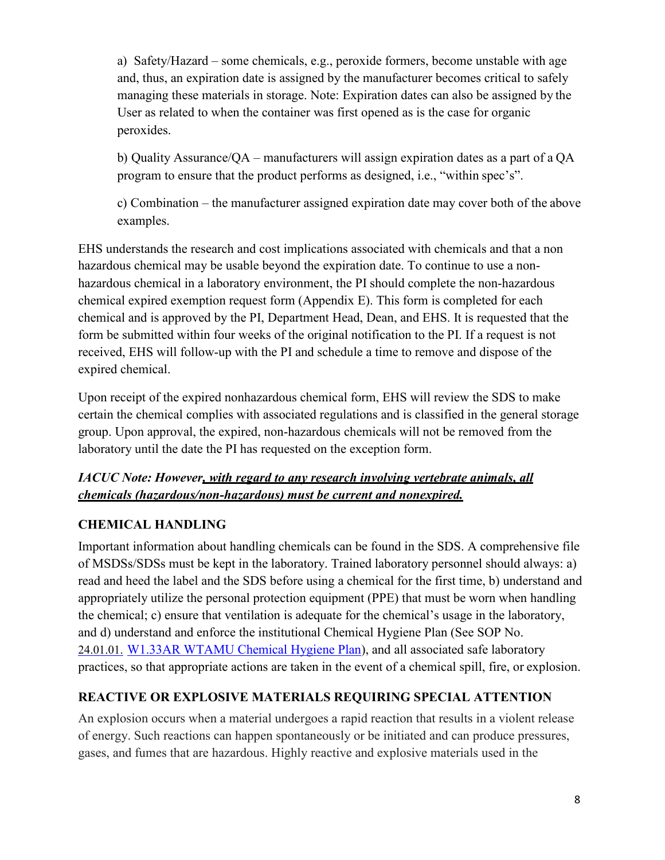a) Safety/Hazard – some chemicals, e.g., peroxide formers, become unstable with age and, thus, an expiration date is assigned by the manufacturer becomes critical to safely managing these materials in storage. Note: Expiration dates can also be assigned by the User as related to when the container was first opened as is the case for organic peroxides.

b) Quality Assurance/QA – manufacturers will assign expiration dates as a part of a QA program to ensure that the product performs as designed, i.e., "within spec's".

c) Combination – the manufacturer assigned expiration date may cover both of the above examples.

EHS understands the research and cost implications associated with chemicals and that a non hazardous chemical may be usable beyond the expiration date. To continue to use a nonhazardous chemical in a laboratory environment, the PI should complete the non-hazardous chemical expired exemption request form (Appendix E). This form is completed for each chemical and is approved by the PI, Department Head, Dean, and EHS. It is requested that the form be submitted within four weeks of the original notification to the PI. If a request is not received, EHS will follow-up with the PI and schedule a time to remove and dispose of the expired chemical.

Upon receipt of the expired nonhazardous chemical form, EHS will review the SDS to make certain the chemical complies with associated regulations and is classified in the general storage group. Upon approval, the expired, non-hazardous chemicals will not be removed from the laboratory until the date the PI has requested on the exception form.

# *IACUC Note: However, with regard to any research involving vertebrate animals, all chemicals (hazardous/non-hazardous) must be current and nonexpired.*

# <span id="page-7-0"></span>**CHEMICAL HANDLING**

Important information about handling chemicals can be found in the SDS. A comprehensive file of MSDSs/SDSs must be kept in the laboratory. Trained laboratory personnel should always: a) read and heed the label and the SDS before using a chemical for the first time, b) understand and appropriately utilize the personal protection equipment (PPE) that must be worn when handling the chemical; c) ensure that ventilation is adequate for the chemical's usage in the laboratory, and d) understand and enforce the institutional Chemical Hygiene Plan (See SOP No. 24.01.01. [W1.33AR WTAMU Chemical Hygiene Plan\)](http://www.wtamu.edu/webres/File/Academics/Graduate%20School/AR-EHS/SOPs/SOPS%20with%20correct%20title/24.01.01.W1.33AR%20Chemical%20Hygiene.pdf), and all associated safe laboratory practices, so that appropriate actions are taken in the event of a chemical spill, fire, or explosion.

# <span id="page-7-1"></span>**REACTIVE OR EXPLOSIVE MATERIALS REQUIRING SPECIAL ATTENTION**

An explosion occurs when a material undergoes a rapid reaction that results in a violent release of energy. Such reactions can happen spontaneously or be initiated and can produce pressures, gases, and fumes that are hazardous. Highly reactive and explosive materials used in the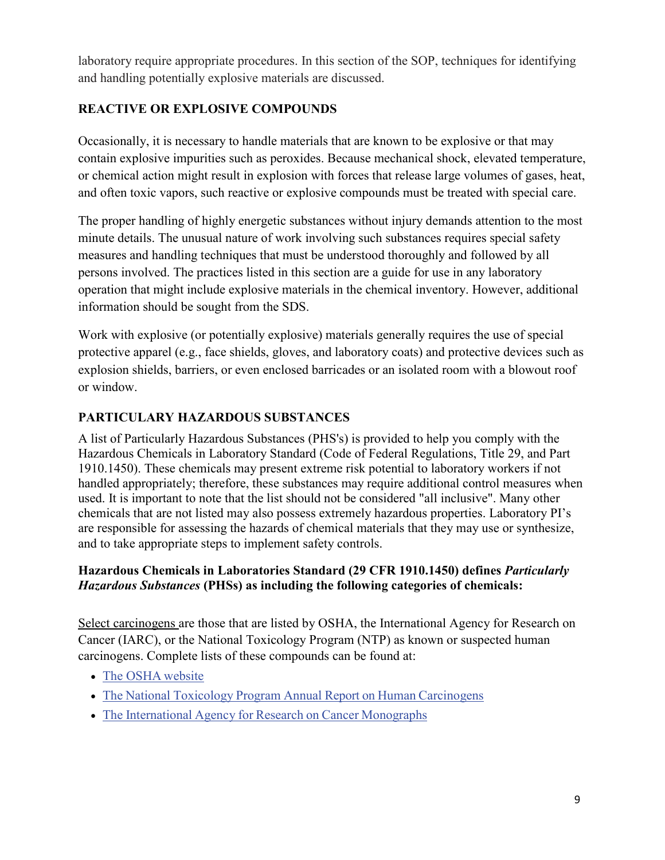laboratory require appropriate procedures. In this section of the SOP, techniques for identifying and handling potentially explosive materials are discussed.

# <span id="page-8-0"></span>**REACTIVE OR EXPLOSIVE COMPOUNDS**

Occasionally, it is necessary to handle materials that are known to be explosive or that may contain explosive impurities such as peroxides. Because mechanical shock, elevated temperature, or chemical action might result in explosion with forces that release large volumes of gases, heat, and often toxic vapors, such reactive or explosive compounds must be treated with special care.

The proper handling of highly energetic substances without injury demands attention to the most minute details. The unusual nature of work involving such substances requires special safety measures and handling techniques that must be understood thoroughly and followed by all persons involved. The practices listed in this section are a guide for use in any laboratory operation that might include explosive materials in the chemical inventory. However, additional information should be sought from the SDS.

Work with explosive (or potentially explosive) materials generally requires the use of special protective apparel (e.g., face shields, gloves, and laboratory coats) and protective devices such as explosion shields, barriers, or even enclosed barricades or an isolated room with a blowout roof or window.

# <span id="page-8-1"></span>**PARTICULARY HAZARDOUS SUBSTANCES**

A list of Particularly Hazardous Substances (PHS's) is provided to help you comply with the Hazardous Chemicals in Laboratory Standard (Code of Federal Regulations, Title 29, and Part 1910.1450). These chemicals may present extreme risk potential to laboratory workers if not handled appropriately; therefore, these substances may require additional control measures when used. It is important to note that the list should not be considered "all inclusive". Many other chemicals that are not listed may also possess extremely hazardous properties. Laboratory PI's are responsible for assessing the hazards of chemical materials that they may use or synthesize, and to take appropriate steps to implement safety controls.

# **Hazardous Chemicals in Laboratories Standard (29 CFR 1910.1450) defines** *Particularly Hazardous Substances* **(PHSs) as including the following categories of chemicals:**

Select carcinogens are those that are listed by OSHA, the International Agency for Research on Cancer (IARC), or the National Toxicology Program (NTP) as known or suspected human carcinogens. Complete lists of these compounds can be found at:

- The OSHA website
- The National Toxicology Program Annual Report on Human Carcinogens
- The International Agency for Research on Cancer Monographs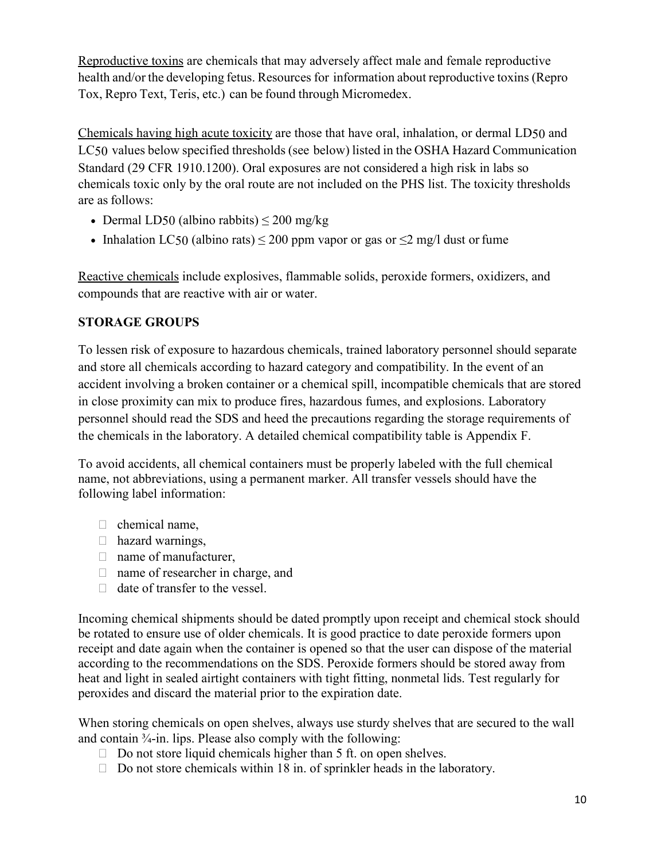Reproductive toxins are chemicals that may adversely affect male and female reproductive health and/or the developing fetus. Resources for information about reproductive toxins (Repro Tox, Repro Text, Teris, etc.) can be found through Micromedex.

Chemicals having high acute toxicity are those that have oral, inhalation, or dermal LD50 and LC50 values below specified thresholds (see below) listed in the OSHA Hazard Communication Standard (29 CFR 1910.1200). Oral exposures are not considered a high risk in labs so chemicals toxic only by the oral route are not included on the PHS list. The toxicity thresholds are as follows:

- Dermal LD50 (albino rabbits)  $\leq$  200 mg/kg
- Inhalation LC50 (albino rats)  $\leq$  200 ppm vapor or gas or  $\leq$ 2 mg/l dust or fume

Reactive chemicals include explosives, flammable solids, peroxide formers, oxidizers, and compounds that are reactive with air or water.

#### **STORAGE GROUPS**

To lessen risk of exposure to hazardous chemicals, trained laboratory personnel should separate and store all chemicals according to hazard category and compatibility. In the event of an accident involving a broken container or a chemical spill, incompatible chemicals that are stored in close proximity can mix to produce fires, hazardous fumes, and explosions. Laboratory personnel should read the SDS and heed the precautions regarding the storage requirements of the chemicals in the laboratory. A detailed chemical compatibility table is Appendix F.

To avoid accidents, all chemical containers must be properly labeled with the full chemical name, not abbreviations, using a permanent marker. All transfer vessels should have the following label information:

- $\Box$  chemical name,
- $\Box$  hazard warnings,
- $\Box$  name of manufacturer,
- □ name of researcher in charge, and
- $\Box$  date of transfer to the vessel.

Incoming chemical shipments should be dated promptly upon receipt and chemical stock should be rotated to ensure use of older chemicals. It is good practice to date peroxide formers upon receipt and date again when the container is opened so that the user can dispose of the material according to the recommendations on the SDS. Peroxide formers should be stored away from heat and light in sealed airtight containers with tight fitting, nonmetal lids. Test regularly for peroxides and discard the material prior to the expiration date.

When storing chemicals on open shelves, always use sturdy shelves that are secured to the wall and contain  $\frac{3}{4}$ -in. lips. Please also comply with the following:

- $\Box$  Do not store liquid chemicals higher than 5 ft. on open shelves.
- $\Box$  Do not store chemicals within 18 in. of sprinkler heads in the laboratory.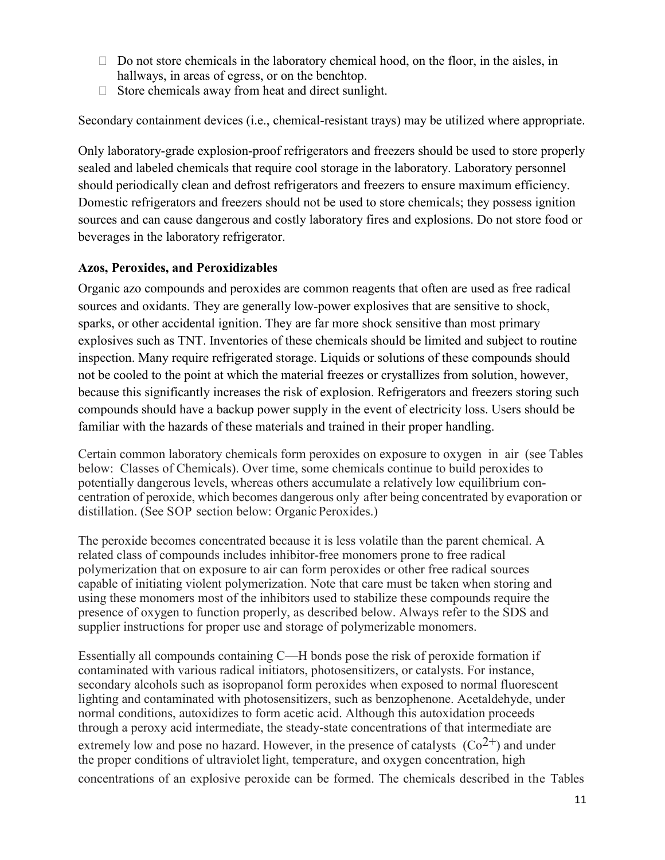- $\Box$  Do not store chemicals in the laboratory chemical hood, on the floor, in the aisles, in hallways, in areas of egress, or on the benchtop.
- $\Box$  Store chemicals away from heat and direct sunlight.

Secondary containment devices (i.e., chemical-resistant trays) may be utilized where appropriate.

Only laboratory-grade explosion-proof refrigerators and freezers should be used to store properly sealed and labeled chemicals that require cool storage in the laboratory. Laboratory personnel should periodically clean and defrost refrigerators and freezers to ensure maximum efficiency. Domestic refrigerators and freezers should not be used to store chemicals; they possess ignition sources and can cause dangerous and costly laboratory fires and explosions. Do not store food or beverages in the laboratory refrigerator.

#### <span id="page-10-0"></span>**Azos, Peroxides, and Peroxidizables**

Organic azo compounds and peroxides are common reagents that often are used as free radical sources and oxidants. They are generally low-power explosives that are sensitive to shock, sparks, or other accidental ignition. They are far more shock sensitive than most primary explosives such as TNT. Inventories of these chemicals should be limited and subject to routine inspection. Many require refrigerated storage. Liquids or solutions of these compounds should not be cooled to the point at which the material freezes or crystallizes from solution, however, because this significantly increases the risk of explosion. Refrigerators and freezers storing such compounds should have a backup power supply in the event of electricity loss. Users should be familiar with the hazards of these materials and trained in their proper handling.

Certain common laboratory chemicals form peroxides on exposure to oxygen in air (see Tables below: Classes of Chemicals). Over time, some chemicals continue to build peroxides to potentially dangerous levels, whereas others accumulate a relatively low equilibrium concentration of peroxide, which becomes dangerous only after being concentrated by evaporation or distillation. (See SOP section below: Organic Peroxides.)

The peroxide becomes concentrated because it is less volatile than the parent chemical. A related class of compounds includes inhibitor-free monomers prone to free radical polymerization that on exposure to air can form peroxides or other free radical sources capable of initiating violent polymerization. Note that care must be taken when storing and using these monomers most of the inhibitors used to stabilize these compounds require the presence of oxygen to function properly, as described below. Always refer to the SDS and supplier instructions for proper use and storage of polymerizable monomers.

Essentially all compounds containing C—H bonds pose the risk of peroxide formation if contaminated with various radical initiators, photosensitizers, or catalysts. For instance, secondary alcohols such as isopropanol form peroxides when exposed to normal fluorescent lighting and contaminated with photosensitizers, such as benzophenone. Acetaldehyde, under normal conditions, autoxidizes to form acetic acid. Although this autoxidation proceeds through a peroxy acid intermediate, the steady-state concentrations of that intermediate are extremely low and pose no hazard. However, in the presence of catalysts  $(Co^{2+})$  and under the proper conditions of ultraviolet light, temperature, and oxygen concentration, high concentrations of an explosive peroxide can be formed. The chemicals described in the Tables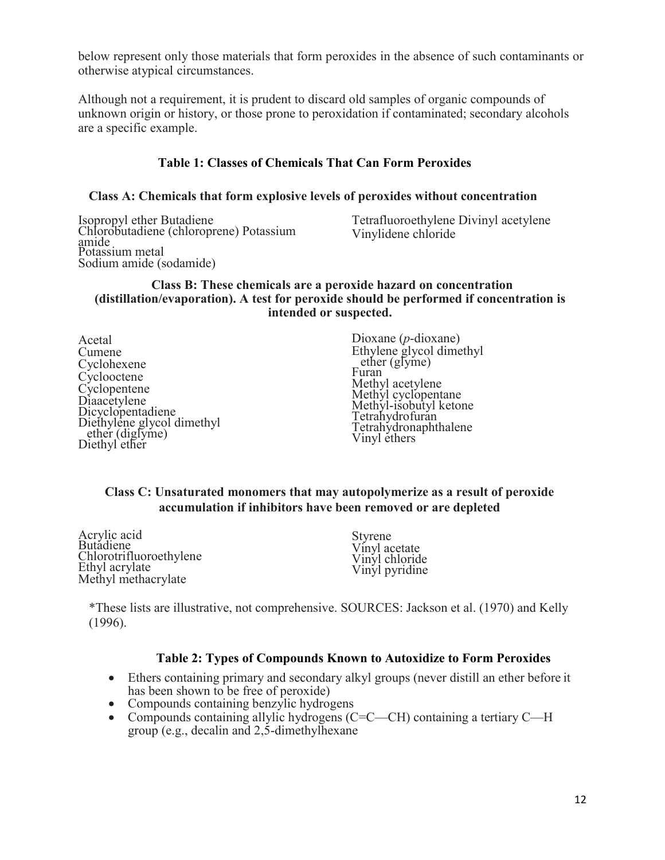below represent only those materials that form peroxides in the absence of such contaminants or otherwise atypical circumstances.

Although not a requirement, it is prudent to discard old samples of organic compounds of unknown origin or history, or those prone to peroxidation if contaminated; secondary alcohols are a specific example.

#### **Table 1: Classes of Chemicals That Can Form Peroxides**

#### <span id="page-11-0"></span>**Class A: Chemicals that form explosive levels of peroxides without concentration**

<span id="page-11-1"></span>Isopropyl ether Butadiene Chlorobutadiene (chloroprene) Potassium amide Potassium metal Sodium amide (sodamide)

Tetrafluoroethylene Divinyl acetylene Vinylidene chloride

#### **Class B: These chemicals are a peroxide hazard on concentration (distillation/evaporation). A test for peroxide should be performed if concentration is intended or suspected.**

Acetal Cumene Cyclohexene **Cyclooctene** Cyclopentene Diaacetylene Dicyclopentadiene Diethylene glycol dimethyl ether (diglyme) Diethyl ether

Dioxane (*p*-dioxane) Ethylene glycol dimethyl ether (glyme) Furan Methyl acetylene Methyl cyclopentane Methyl-isobutyl ketone<br>Tetrahydrofuran Tetrahydrofurån<br>Tetrahydronaphthalene Vinyl ethers

#### **Class C: Unsaturated monomers that may autopolymerize as a result of peroxide accumulation if inhibitors have been removed or are depleted**

<span id="page-11-2"></span>Acrylic acid Butadiene Chlorotrifluoroethylene Ethyl acrylate Methyl methacrylate

Styrene Vinyl acetate Vinyl chloride Vinyl pyridine

<span id="page-11-3"></span>\*These lists are illustrative, not comprehensive. SOURCES: Jackson et al. (1970) and Kelly (1996).

#### **Table 2: Types of Compounds Known to Autoxidize to Form Peroxides**

- Ethers containing primary and secondary alkyl groups (never distill an ether before it
- has been shown to be free of peroxide) Compounds containing benzylic hydrogens
- Compounds containing allylic hydrogens (C=C—CH) containing a tertiary C—H group (e.g., decalin and 2,5-dimethylhexane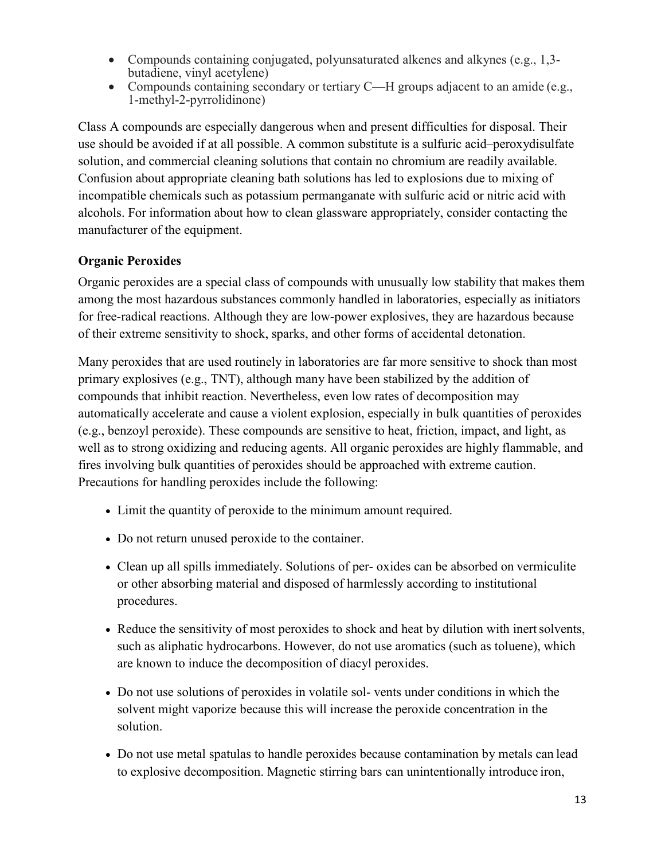- Compounds containing conjugated, polyunsaturated alkenes and alkynes (e.g., 1,3butadiene, vinyl acetylene)
- Compounds containing secondary or tertiary C—H groups adjacent to an amide (e.g., 1-methyl-2-pyrrolidinone)

Class A compounds are especially dangerous when and present difficulties for disposal. Their use should be avoided if at all possible. A common substitute is a sulfuric acid–peroxydisulfate solution, and commercial cleaning solutions that contain no chromium are readily available. Confusion about appropriate cleaning bath solutions has led to explosions due to mixing of incompatible chemicals such as potassium permanganate with sulfuric acid or nitric acid with alcohols. For information about how to clean glassware appropriately, consider contacting the manufacturer of the equipment.

# <span id="page-12-0"></span>**Organic Peroxides**

Organic peroxides are a special class of compounds with unusually low stability that makes them among the most hazardous substances commonly handled in laboratories, especially as initiators for free-radical reactions. Although they are low-power explosives, they are hazardous because of their extreme sensitivity to shock, sparks, and other forms of accidental detonation.

Many peroxides that are used routinely in laboratories are far more sensitive to shock than most primary explosives (e.g., TNT), although many have been stabilized by the addition of compounds that inhibit reaction. Nevertheless, even low rates of decomposition may automatically accelerate and cause a violent explosion, especially in bulk quantities of peroxides (e.g., benzoyl peroxide). These compounds are sensitive to heat, friction, impact, and light, as well as to strong oxidizing and reducing agents. All organic peroxides are highly flammable, and fires involving bulk quantities of peroxides should be approached with extreme caution. Precautions for handling peroxides include the following:

- Limit the quantity of peroxide to the minimum amount required.
- Do not return unused peroxide to the container.
- Clean up all spills immediately. Solutions of per- oxides can be absorbed on vermiculite or other absorbing material and disposed of harmlessly according to institutional procedures.
- Reduce the sensitivity of most peroxides to shock and heat by dilution with inert solvents, such as aliphatic hydrocarbons. However, do not use aromatics (such as toluene), which are known to induce the decomposition of diacyl peroxides.
- Do not use solutions of peroxides in volatile sol- vents under conditions in which the solvent might vaporize because this will increase the peroxide concentration in the solution.
- Do not use metal spatulas to handle peroxides because contamination by metals can lead to explosive decomposition. Magnetic stirring bars can unintentionally introduce iron,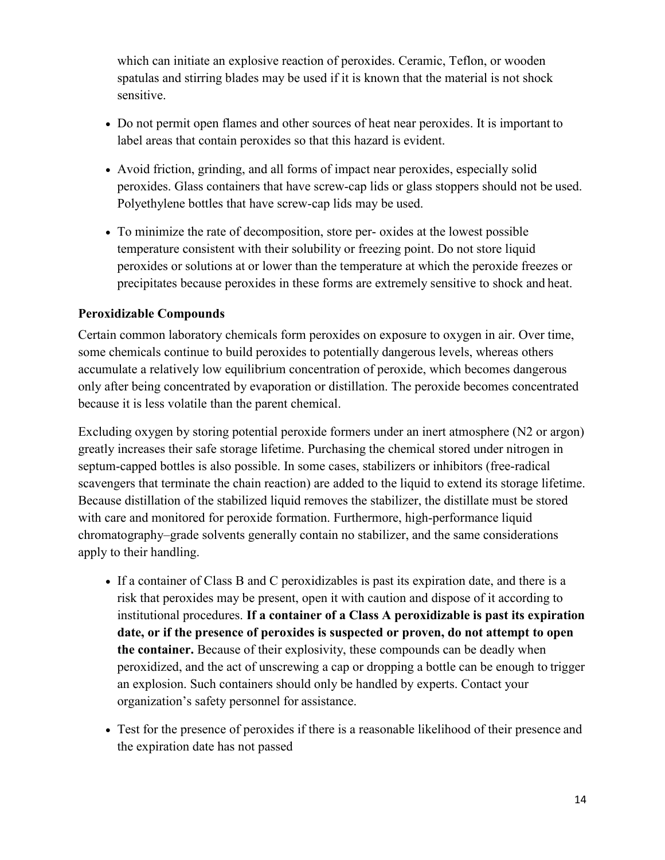which can initiate an explosive reaction of peroxides. Ceramic, Teflon, or wooden spatulas and stirring blades may be used if it is known that the material is not shock sensitive.

- Do not permit open flames and other sources of heat near peroxides. It is important to label areas that contain peroxides so that this hazard is evident.
- Avoid friction, grinding, and all forms of impact near peroxides, especially solid peroxides. Glass containers that have screw-cap lids or glass stoppers should not be used. Polyethylene bottles that have screw-cap lids may be used.
- To minimize the rate of decomposition, store per- oxides at the lowest possible temperature consistent with their solubility or freezing point. Do not store liquid peroxides or solutions at or lower than the temperature at which the peroxide freezes or precipitates because peroxides in these forms are extremely sensitive to shock and heat.

# <span id="page-13-0"></span>**Peroxidizable Compounds**

Certain common laboratory chemicals form peroxides on exposure to oxygen in air. Over time, some chemicals continue to build peroxides to potentially dangerous levels, whereas others accumulate a relatively low equilibrium concentration of peroxide, which becomes dangerous only after being concentrated by evaporation or distillation. The peroxide becomes concentrated because it is less volatile than the parent chemical.

Excluding oxygen by storing potential peroxide formers under an inert atmosphere (N2 or argon) greatly increases their safe storage lifetime. Purchasing the chemical stored under nitrogen in septum-capped bottles is also possible. In some cases, stabilizers or inhibitors (free-radical scavengers that terminate the chain reaction) are added to the liquid to extend its storage lifetime. Because distillation of the stabilized liquid removes the stabilizer, the distillate must be stored with care and monitored for peroxide formation. Furthermore, high-performance liquid chromatography–grade solvents generally contain no stabilizer, and the same considerations apply to their handling.

- If a container of Class B and C peroxidizables is past its expiration date, and there is a risk that peroxides may be present, open it with caution and dispose of it according to institutional procedures. **If a container of a Class A peroxidizable is past its expiration date, or if the presence of peroxides is suspected or proven, do not attempt to open the container.** Because of their explosivity, these compounds can be deadly when peroxidized, and the act of unscrewing a cap or dropping a bottle can be enough to trigger an explosion. Such containers should only be handled by experts. Contact your organization's safety personnel for assistance.
- Test for the presence of peroxides if there is a reasonable likelihood of their presence and the expiration date has not passed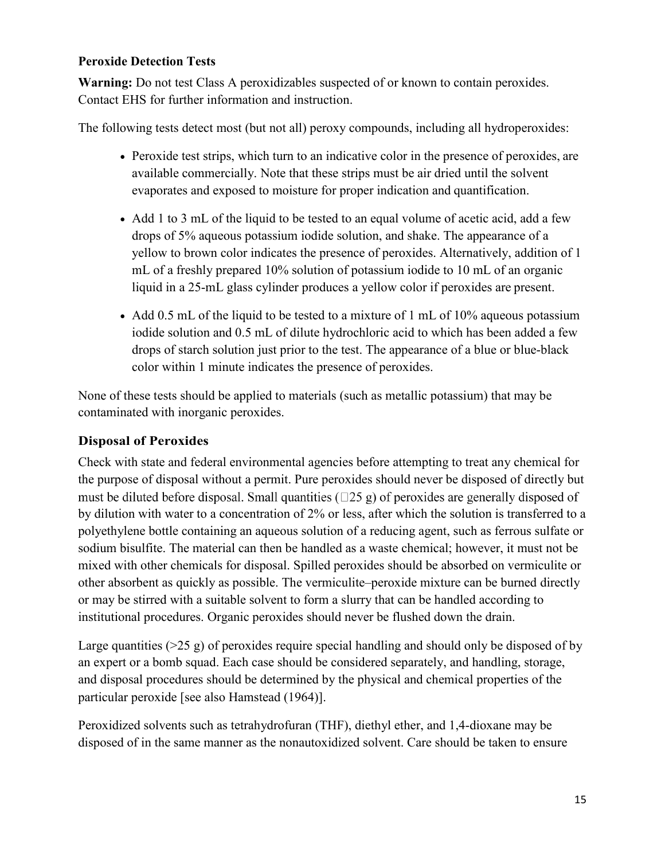# <span id="page-14-0"></span>**Peroxide Detection Tests**

**Warning:** Do not test Class A peroxidizables suspected of or known to contain peroxides. Contact EHS for further information and instruction.

The following tests detect most (but not all) peroxy compounds, including all hydroperoxides:

- Peroxide test strips, which turn to an indicative color in the presence of peroxides, are available commercially. Note that these strips must be air dried until the solvent evaporates and exposed to moisture for proper indication and quantification.
- Add 1 to 3 mL of the liquid to be tested to an equal volume of acetic acid, add a few drops of 5% aqueous potassium iodide solution, and shake. The appearance of a yellow to brown color indicates the presence of peroxides. Alternatively, addition of 1 mL of a freshly prepared 10% solution of potassium iodide to 10 mL of an organic liquid in a 25-mL glass cylinder produces a yellow color if peroxides are present.
- Add 0.5 mL of the liquid to be tested to a mixture of 1 mL of 10% aqueous potassium iodide solution and 0.5 mL of dilute hydrochloric acid to which has been added a few drops of starch solution just prior to the test. The appearance of a blue or blue-black color within 1 minute indicates the presence of peroxides.

None of these tests should be applied to materials (such as metallic potassium) that may be contaminated with inorganic peroxides.

# <span id="page-14-1"></span>**Disposal of Peroxides**

Check with state and federal environmental agencies before attempting to treat any chemical for the purpose of disposal without a permit. Pure peroxides should never be disposed of directly but must be diluted before disposal. Small quantities ( $\Box$ 25 g) of peroxides are generally disposed of by dilution with water to a concentration of 2% or less, after which the solution is transferred to a polyethylene bottle containing an aqueous solution of a reducing agent, such as ferrous sulfate or sodium bisulfite. The material can then be handled as a waste chemical; however, it must not be mixed with other chemicals for disposal. Spilled peroxides should be absorbed on vermiculite or other absorbent as quickly as possible. The vermiculite–peroxide mixture can be burned directly or may be stirred with a suitable solvent to form a slurry that can be handled according to institutional procedures. Organic peroxides should never be flushed down the drain.

Large quantities ( $>$ 25 g) of peroxides require special handling and should only be disposed of by an expert or a bomb squad. Each case should be considered separately, and handling, storage, and disposal procedures should be determined by the physical and chemical properties of the particular peroxide [see also Hamstead (1964)].

Peroxidized solvents such as tetrahydrofuran (THF), diethyl ether, and 1,4-dioxane may be disposed of in the same manner as the nonautoxidized solvent. Care should be taken to ensure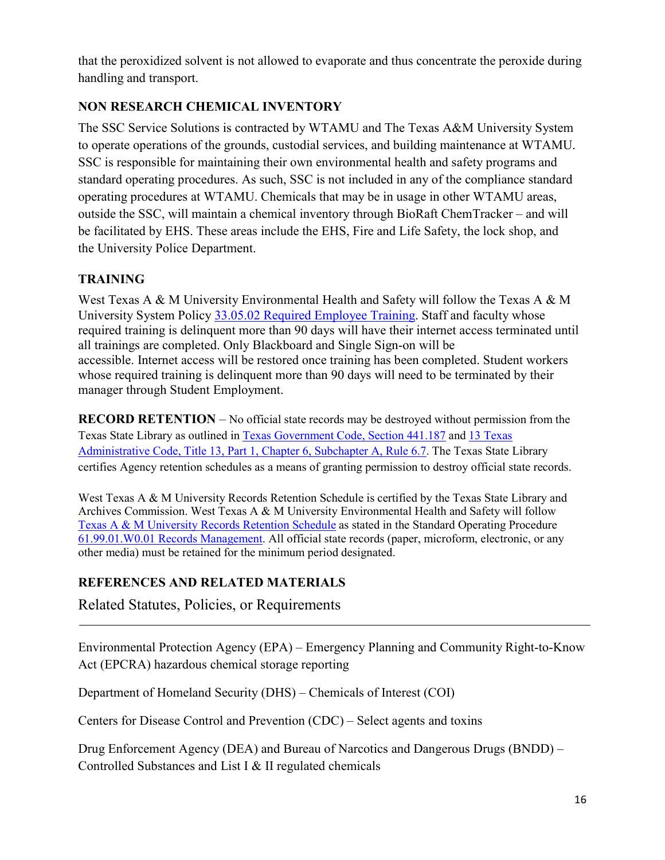that the peroxidized solvent is not allowed to evaporate and thus concentrate the peroxide during handling and transport.

# **NON RESEARCH CHEMICAL INVENTORY**

The SSC Service Solutions is contracted by WTAMU and The Texas A&M University System to operate operations of the grounds, custodial services, and building maintenance at WTAMU. SSC is responsible for maintaining their own environmental health and safety programs and standard operating procedures. As such, SSC is not included in any of the compliance standard operating procedures at WTAMU. Chemicals that may be in usage in other WTAMU areas, outside the SSC, will maintain a chemical inventory through BioRaft ChemTracker – and will be facilitated by EHS. These areas include the EHS, Fire and Life Safety, the lock shop, and the University Police Department.

# <span id="page-15-0"></span>**TRAINING**

West Texas A & M University Environmental Health and Safety will follow the Texas A & M University System Policy [33.05.02 Required Employee Training.](http://policies.tamus.edu/33-05-02.pdf) Staff and faculty whose required training is delinquent more than 90 days will have their internet access terminated until all trainings are completed. Only Blackboard and Single Sign-on will be accessible. Internet access will be restored once training has been completed. Student workers whose required training is delinquent more than 90 days will need to be terminated by their manager through Student Employment.

<span id="page-15-1"></span>**RECORD RETENTION** – No official state records may be destroyed without permission from the Texas State Library as outlined in [Texas Government Code, Section 441.187](http://www.statutes.legis.state.tx.us/?link=GV) and [13 Texas](http://info.sos.state.tx.us/pls/pub/readtac%24ext.TacPage?sl=R&app=9&p_dir&p_rloc&p_tloc&p_ploc&pg=1&p_tac&ti=13&pt=1&ch=6&rl=7U) [Administrative Code, Title 13, Part 1, Chapter 6, Subchapter A, Rule 6.7.](http://info.sos.state.tx.us/pls/pub/readtac%24ext.TacPage?sl=R&app=9&p_dir&p_rloc&p_tloc&p_ploc&pg=1&p_tac&ti=13&pt=1&ch=6&rl=7U) The Texas State Library certifies Agency retention schedules as a means of granting permission to destroy official state records.

West Texas A & M University Records Retention Schedule is certified by the Texas State Library and Archives Commission. West Texas A & M University Environmental Health and Safety will follow [Texas A & M University Records Retention Schedule](http://www.wtamu.edu/webres/File/Risk%20Management/System-Records-Retention-Schedule-Dec2012.pdf) as stated in the Standard Operating Procedure [61.99.01.W0.01 Records Management.](http://www.wtamu.edu/webres/File/Risk%20Management/61.99.01.W0.01_PROCEDURE_Records%20Management_FINAL%20SIGNED.pdf) All official state records (paper, microform, electronic, or any other media) must be retained for the minimum period designated.

# **REFERENCES AND RELATED MATERIALS**

Related Statutes, Policies, or Requirements

Environmental Protection Agency (EPA) – Emergency Planning and Community Right-to-Know Act (EPCRA) hazardous chemical storage reporting

Department of Homeland Security (DHS) – Chemicals of Interest (COI)

Centers for Disease Control and Prevention (CDC) – Select agents and toxins

Drug Enforcement Agency (DEA) and Bureau of Narcotics and Dangerous Drugs (BNDD) – Controlled Substances and List I & II regulated chemicals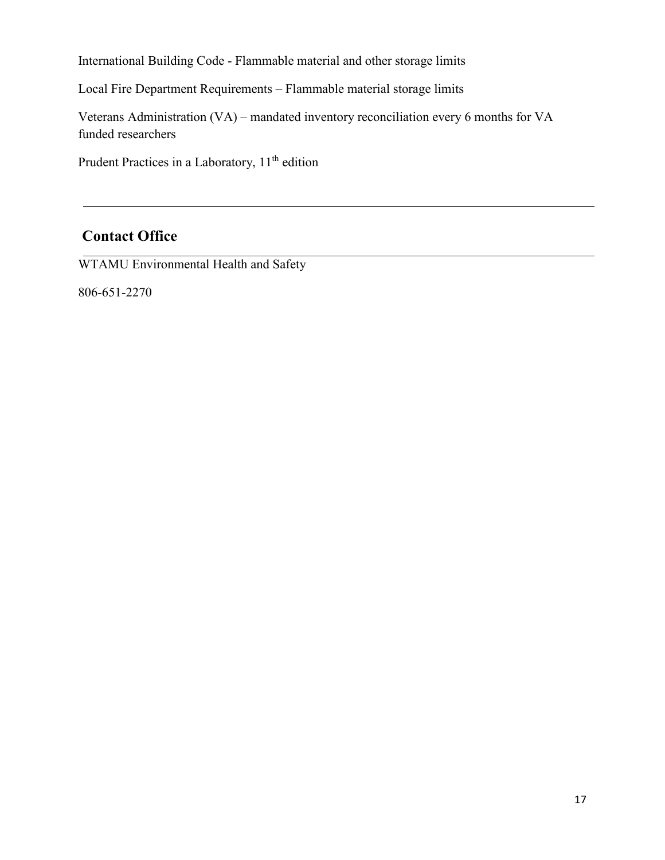International Building Code - Flammable material and other storage limits

Local Fire Department Requirements – Flammable material storage limits

Veterans Administration (VA) – mandated inventory reconciliation every 6 months for VA funded researchers

Prudent Practices in a Laboratory, 11<sup>th</sup> edition

# **Contact Office**

WTAMU Environmental Health and Safety

806-651-2270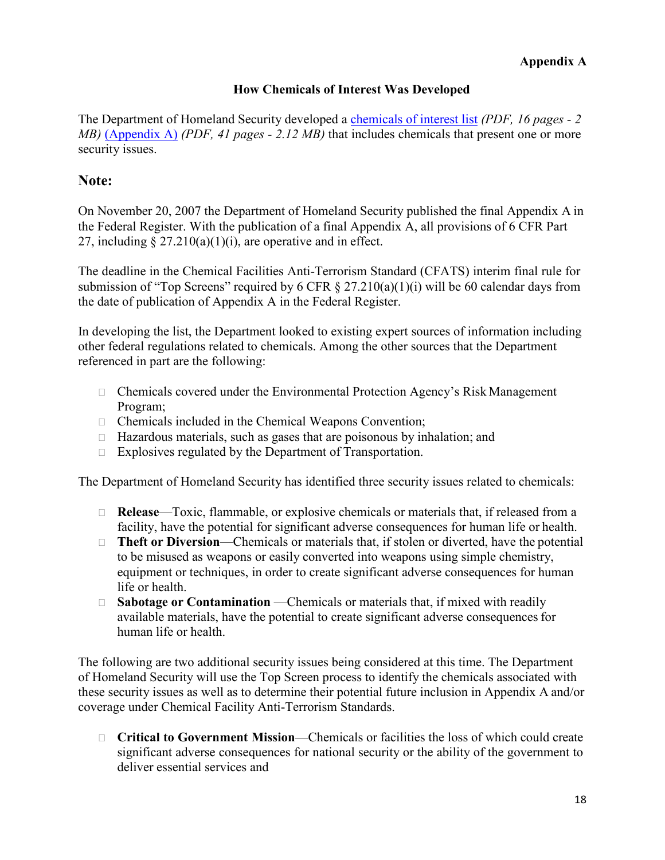# **How Chemicals of Interest Was Developed**

<span id="page-17-1"></span><span id="page-17-0"></span>The Department of Homeland Security developed a [chemicals of interest list](http://www.dhs.gov/xlibrary/assets/chemsec_appendixa-chemicalofinterestlist.pdf) *(PDF, 16 pages - 2 MB)* [\(Appendix A\)](http://www.dhs.gov/xlibrary/assets/chemsec_appendixafinalrule.pdf) *(PDF, 41 pages - 2.12 MB)* that includes chemicals that present one or more security issues.

#### <span id="page-17-2"></span>**Note:**

On November 20, 2007 the Department of Homeland Security published the final Appendix A in the Federal Register. With the publication of a final Appendix A, all provisions of 6 CFR Part 27, including §  $27.210(a)(1)(i)$ , are operative and in effect.

The deadline in the Chemical Facilities Anti-Terrorism Standard (CFATS) interim final rule for submission of "Top Screens" required by 6 CFR  $\S 27.210(a)(1)(i)$  will be 60 calendar days from the date of publication of Appendix A in the Federal Register.

In developing the list, the Department looked to existing expert sources of information including other federal regulations related to chemicals. Among the other sources that the Department referenced in part are the following:

- □ Chemicals covered under the Environmental Protection Agency's Risk Management Program;
- $\Box$  Chemicals included in the Chemical Weapons Convention;
- $\Box$  Hazardous materials, such as gases that are poisonous by inhalation; and
- $\Box$  Explosives regulated by the Department of Transportation.

The Department of Homeland Security has identified three security issues related to chemicals:

- **Release**—Toxic, flammable, or explosive chemicals or materials that, if released from a facility, have the potential for significant adverse consequences for human life or health.
- **Theft or Diversion**—Chemicals or materials that, if stolen or diverted, have the potential to be misused as weapons or easily converted into weapons using simple chemistry, equipment or techniques, in order to create significant adverse consequences for human life or health.
- □ **Sabotage or Contamination** Chemicals or materials that, if mixed with readily available materials, have the potential to create significant adverse consequences for human life or health.

The following are two additional security issues being considered at this time. The Department of Homeland Security will use the Top Screen process to identify the chemicals associated with these security issues as well as to determine their potential future inclusion in Appendix A and/or coverage under Chemical Facility Anti-Terrorism Standards.

 **Critical to Government Mission**—Chemicals or facilities the loss of which could create significant adverse consequences for national security or the ability of the government to deliver essential services and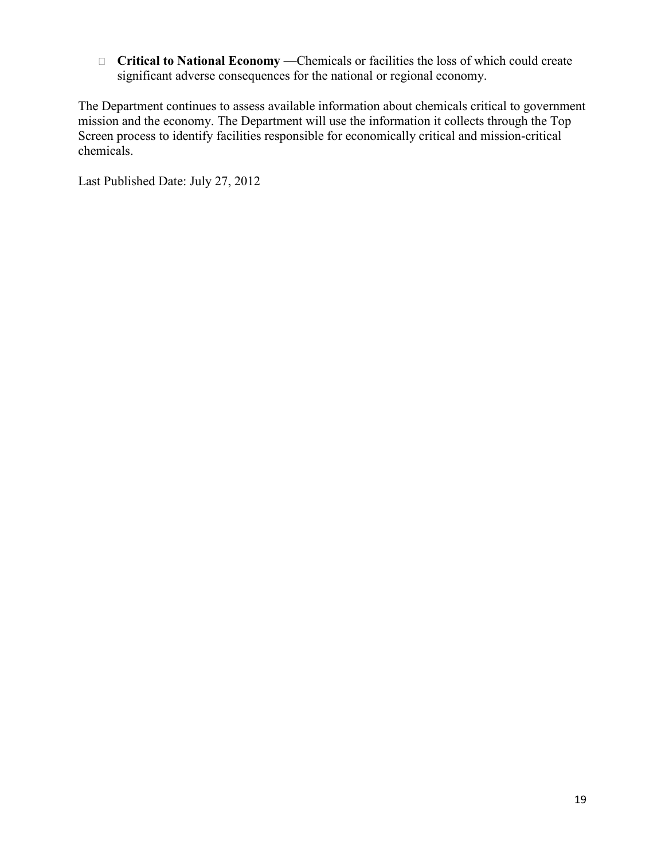□ **Critical to National Economy** —Chemicals or facilities the loss of which could create significant adverse consequences for the national or regional economy.

The Department continues to assess available information about chemicals critical to government mission and the economy. The Department will use the information it collects through the Top Screen process to identify facilities responsible for economically critical and mission-critical chemicals.

Last Published Date: July 27, 2012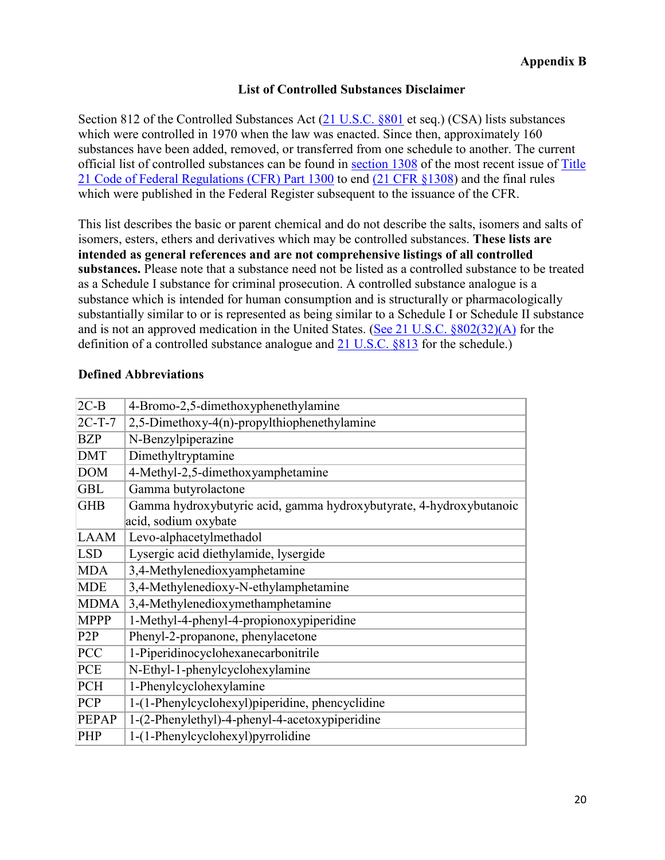#### **List of Controlled Substances Disclaimer**

<span id="page-19-1"></span><span id="page-19-0"></span>Section 812 of the Controlled Substances Act [\(21 U.S.C. §801](http://www.deadiversion.usdoj.gov/21cfr/21usc/801.htm) et seq.) (CSA) lists substances which were controlled in 1970 when the law was enacted. Since then, approximately 160 substances have been added, removed, or transferred from one schedule to another. The current official list of controlled substances can be found in [section 1308](http://www.deadiversion.usdoj.gov/21cfr/cfr/2108cfrt.htm) of the most recent issue of [Title](http://www.deadiversion.usdoj.gov/21cfr/cfr/2100cfrt.htm) [21 Code of Federal Regulations \(CFR\) Part 1300](http://www.deadiversion.usdoj.gov/21cfr/cfr/2100cfrt.htm) to end [\(21 CFR §1308\)](http://www.deadiversion.usdoj.gov/21cfr/cfr/2108cfrt.htm) and the final rules which were published in the Federal Register subsequent to the issuance of the CFR.

This list describes the basic or parent chemical and do not describe the salts, isomers and salts of isomers, esters, ethers and derivatives which may be controlled substances. **These lists are intended as general references and are not comprehensive listings of all controlled substances.** Please note that a substance need not be listed as a controlled substance to be treated as a Schedule I substance for criminal prosecution. A controlled substance analogue is a substance which is intended for human consumption and is structurally or pharmacologically substantially similar to or is represented as being similar to a Schedule I or Schedule II substance and is not an approved medication in the United States. [\(See 21 U.S.C. §802\(32\)\(A\)](http://www.deadiversion.usdoj.gov/21cfr/21usc/802.htm) for the definition of a controlled substance analogue and [21 U.S.C. §813](http://www.deadiversion.usdoj.gov/21cfr/21usc/813.htm) for the schedule.)

| $2C-B$           | 4-Bromo-2,5-dimethoxyphenethylamine                                 |  |  |  |
|------------------|---------------------------------------------------------------------|--|--|--|
| $2C-T-7$         | 2,5-Dimethoxy-4(n)-propylthiophenethylamine                         |  |  |  |
| <b>BZP</b>       | N-Benzylpiperazine                                                  |  |  |  |
| <b>DMT</b>       | Dimethyltryptamine                                                  |  |  |  |
| <b>DOM</b>       | 4-Methyl-2,5-dimethoxyamphetamine                                   |  |  |  |
| <b>GBL</b>       | Gamma butyrolactone                                                 |  |  |  |
| <b>GHB</b>       | Gamma hydroxybutyric acid, gamma hydroxybutyrate, 4-hydroxybutanoic |  |  |  |
|                  | acid, sodium oxybate                                                |  |  |  |
| <b>LAAM</b>      | Levo-alphacetylmethadol                                             |  |  |  |
| <b>LSD</b>       | Lysergic acid diethylamide, lysergide                               |  |  |  |
| <b>MDA</b>       | 3,4-Methylenedioxyamphetamine                                       |  |  |  |
| <b>MDE</b>       | 3,4-Methylenedioxy-N-ethylamphetamine                               |  |  |  |
| <b>MDMA</b>      | 3,4-Methylenedioxymethamphetamine                                   |  |  |  |
| <b>MPPP</b>      | 1-Methyl-4-phenyl-4-propionoxypiperidine                            |  |  |  |
| P <sub>2</sub> P | Phenyl-2-propanone, phenylacetone                                   |  |  |  |
| PCC              | 1-Piperidinocyclohexanecarbonitrile                                 |  |  |  |
| <b>PCE</b>       | N-Ethyl-1-phenylcyclohexylamine                                     |  |  |  |
| PCH              | 1-Phenylcyclohexylamine                                             |  |  |  |
| <b>PCP</b>       | 1-(1-Phenylcyclohexyl)piperidine, phencyclidine                     |  |  |  |
| <b>PEPAP</b>     | 1-(2-Phenylethyl)-4-phenyl-4-acetoxypiperidine                      |  |  |  |
| PHP              | 1-(1-Phenylcyclohexyl) pyrrolidine                                  |  |  |  |

#### <span id="page-19-2"></span>**Defined Abbreviations**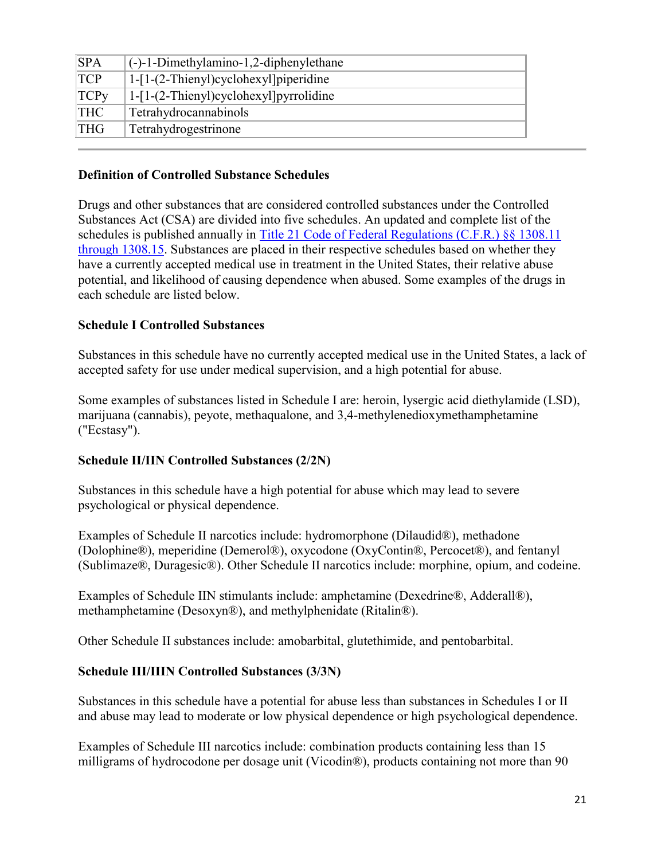| (-)-1-Dimethylamino-1,2-diphenylethane    |
|-------------------------------------------|
| $1-[1-(2-Thienyl)cyclohexyl]$ piperidine  |
| $1-[1-(2-Thienyl)$ cyclohexyl]pyrrolidine |
| Tetrahydrocannabinols                     |
| Tetrahydrogestrinone                      |
|                                           |

#### <span id="page-20-0"></span>**Definition of Controlled Substance Schedules**

Drugs and other substances that are considered controlled substances under the Controlled Substances Act (CSA) are divided into five schedules. An updated and complete list of the schedules is published annually in [Title 21 Code of Federal Regulations \(C.F.R.\) §§ 1308.11](http://www.deadiversion.usdoj.gov/21cfr/cfr/2108cfrt.htm) [through 1308.15.](http://www.deadiversion.usdoj.gov/21cfr/cfr/2108cfrt.htm) Substances are placed in their respective schedules based on whether they have a currently accepted medical use in treatment in the United States, their relative abuse potential, and likelihood of causing dependence when abused. Some examples of the drugs in each schedule are listed below.

#### <span id="page-20-1"></span>**Schedule I Controlled Substances**

Substances in this schedule have no currently accepted medical use in the United States, a lack of accepted safety for use under medical supervision, and a high potential for abuse.

Some examples of substances listed in Schedule I are: heroin, lysergic acid diethylamide (LSD), marijuana (cannabis), peyote, methaqualone, and 3,4-methylenedioxymethamphetamine ("Ecstasy").

#### <span id="page-20-2"></span>**Schedule II/IIN Controlled Substances (2/2N)**

Substances in this schedule have a high potential for abuse which may lead to severe psychological or physical dependence.

Examples of Schedule II narcotics include: hydromorphone (Dilaudid®), methadone (Dolophine®), meperidine (Demerol®), oxycodone (OxyContin®, Percocet®), and fentanyl (Sublimaze®, Duragesic®). Other Schedule II narcotics include: morphine, opium, and codeine.

Examples of Schedule IIN stimulants include: amphetamine (Dexedrine®, Adderall®), methamphetamine (Desoxyn®), and methylphenidate (Ritalin®).

Other Schedule II substances include: amobarbital, glutethimide, and pentobarbital.

#### <span id="page-20-3"></span>**Schedule III/IIIN Controlled Substances (3/3N)**

Substances in this schedule have a potential for abuse less than substances in Schedules I or II and abuse may lead to moderate or low physical dependence or high psychological dependence.

Examples of Schedule III narcotics include: combination products containing less than 15 milligrams of hydrocodone per dosage unit (Vicodin®), products containing not more than 90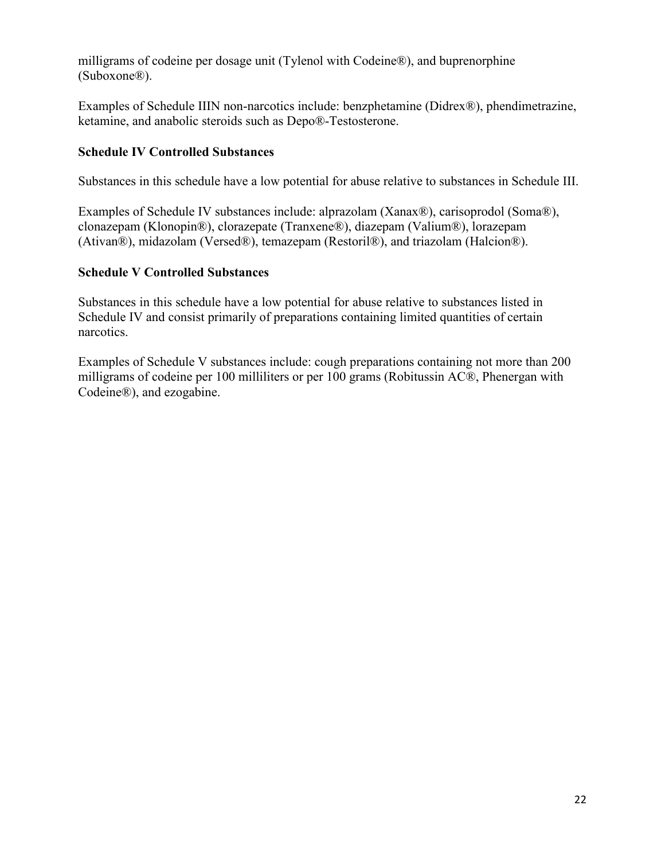milligrams of codeine per dosage unit (Tylenol with Codeine®), and buprenorphine (Suboxone®).

Examples of Schedule IIIN non-narcotics include: benzphetamine (Didrex®), phendimetrazine, ketamine, and anabolic steroids such as Depo®-Testosterone.

#### <span id="page-21-0"></span>**Schedule IV Controlled Substances**

Substances in this schedule have a low potential for abuse relative to substances in Schedule III.

Examples of Schedule IV substances include: alprazolam (Xanax®), carisoprodol (Soma®), clonazepam (Klonopin®), clorazepate (Tranxene®), diazepam (Valium®), lorazepam (Ativan®), midazolam (Versed®), temazepam (Restoril®), and triazolam (Halcion®).

#### <span id="page-21-1"></span>**Schedule V Controlled Substances**

Substances in this schedule have a low potential for abuse relative to substances listed in Schedule IV and consist primarily of preparations containing limited quantities of certain narcotics.

Examples of Schedule V substances include: cough preparations containing not more than 200 milligrams of codeine per 100 milliliters or per 100 grams (Robitussin AC®, Phenergan with Codeine®), and ezogabine.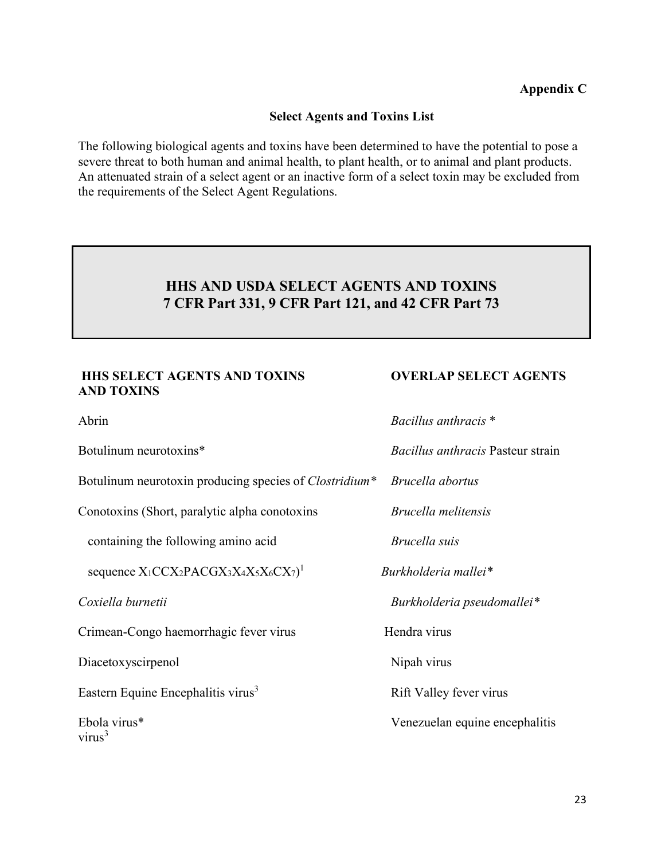#### **Select Agents and Toxins List**

<span id="page-22-1"></span><span id="page-22-0"></span>The following biological agents and toxins have been determined to have the potential to pose a severe threat to both human and animal health, to plant health, or to animal and plant products. An attenuated strain of a select agent or an inactive form of a select toxin may be excluded from the requirements of the Select Agent Regulations.

# <span id="page-22-2"></span>**HHS AND USDA SELECT AGENTS AND TOXINS 7 CFR Part 331, 9 CFR Part 121, and 42 CFR Part 73**

#### **HHS SELECT AGENTS AND TOXINS OVERLAP SELECT AGENTS AND TOXINS**

Botulinum neurotoxin producing species of *Clostridium\* Brucella abortus*

Conotoxins (Short, paralytic alpha conotoxins *Brucella melitensis* 

containing the following amino acid *Brucella suis* 

sequence  $X_1CCX_2PACGX_3X_4X_5X_6CX_7$ <sup>1</sup>

Crimean-Congo haemorrhagic fever virus Hendra virus

Diacetoxyscirpenol Nipah virus

Eastern Equine Encephalitis virus<sup>3</sup> Rift Valley fever virus

 $v$ irus<sup>3</sup>

Abrin *Bacillus anthracis* \*

Botulinum neurotoxins\* *Bacillus anthracis* Pasteur strain

<sup>1</sup> *Burkholderia mallei\**

*Coxiella burnetii Burkholderia pseudomallei\**

Ebola virus\* Venezuelan equine encephalitis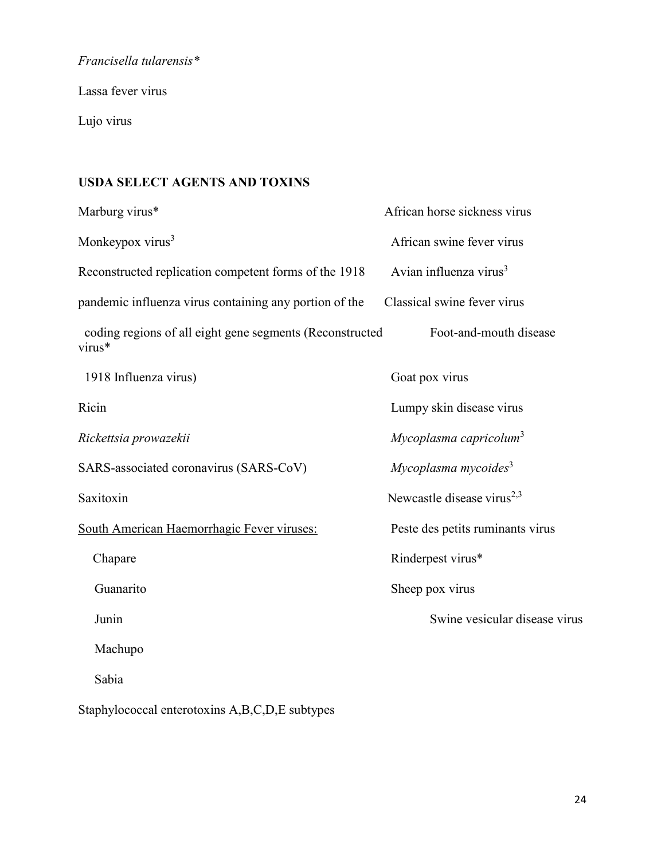# *Francisella tularensis\**

Lassa fever virus

Lujo virus

# **USDA SELECT AGENTS AND TOXINS**

| Marburg virus*                                                     | African horse sickness virus           |
|--------------------------------------------------------------------|----------------------------------------|
| Monkeypox virus <sup>3</sup>                                       | African swine fever virus              |
| Reconstructed replication competent forms of the 1918              | Avian influenza virus <sup>3</sup>     |
| pandemic influenza virus containing any portion of the             | Classical swine fever virus            |
| coding regions of all eight gene segments (Reconstructed<br>virus* | Foot-and-mouth disease                 |
| 1918 Influenza virus)                                              | Goat pox virus                         |
| Ricin                                                              | Lumpy skin disease virus               |
| Rickettsia prowazekii                                              | Mycoplasma capricolum <sup>3</sup>     |
| SARS-associated coronavirus (SARS-CoV)                             | Mycoplasma mycoides <sup>3</sup>       |
| Saxitoxin                                                          | Newcastle disease virus <sup>2,3</sup> |
| South American Haemorrhagic Fever viruses:                         | Peste des petits ruminants virus       |
| Chapare                                                            | Rinderpest virus*                      |
| Guanarito                                                          | Sheep pox virus                        |
| Junin                                                              | Swine vesicular disease virus          |
| Machupo                                                            |                                        |
| Sabia                                                              |                                        |
|                                                                    |                                        |

Staphylococcal enterotoxins A,B,C,D,E subtypes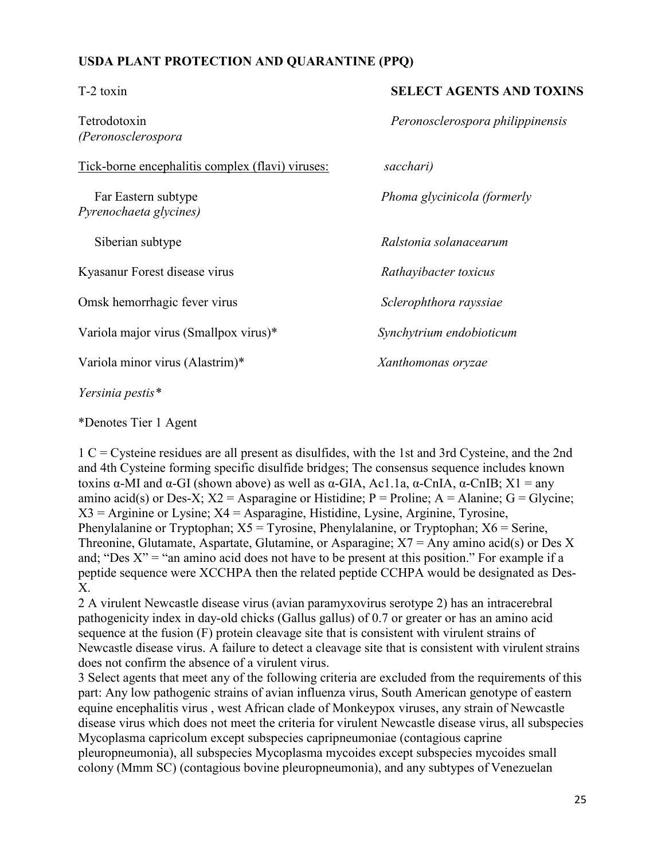#### **USDA PLANT PROTECTION AND QUARANTINE (PPQ)**

*(Peronosclerospora*

\*Denotes Tier 1 Agent

#### T-2 toxin **SELECT AGENTS AND TOXINS**

Tetrodotoxin *Peronosclerospora philippinensis*

| Tick-borne encephalitis complex (flavi) viruses: | sacchari)                   |
|--------------------------------------------------|-----------------------------|
| Far Eastern subtype<br>Pyrenochaeta glycines)    | Phoma glycinicola (formerly |
| Siberian subtype                                 | Ralstonia solanacearum      |
| Kyasanur Forest disease virus                    | Rathayibacter toxicus       |
| Omsk hemorrhagic fever virus                     | Sclerophthora rayssiae      |
| Variola major virus (Smallpox virus)*            | Synchytrium endobioticum    |
| Variola minor virus (Alastrim)*                  | Xanthomonas oryzae          |
| Yersinia pestis*                                 |                             |
|                                                  |                             |

1 C = Cysteine residues are all present as disulfides, with the 1st and 3rd Cysteine, and the 2nd and 4th Cysteine forming specific disulfide bridges; The consensus sequence includes known toxins α-MI and α-GI (shown above) as well as α-GIA, Ac1.1a, α-CnIA, α-CnIB;  $X1 = any$ amino acid(s) or Des-X;  $X2 =$  Asparagine or Histidine; P = Proline; A = Alanine; G = Glycine;  $X3 =$  Arginine or Lysine;  $X4 =$  Asparagine, Histidine, Lysine, Arginine, Tyrosine, Phenylalanine or Tryptophan;  $X5 = Tyrosine$ , Phenylalanine, or Tryptophan;  $X6 =$  Serine, Threonine, Glutamate, Aspartate, Glutamine, or Asparagine;  $X7 =$ Any amino acid(s) or Des X and; "Des  $X$ " = "an amino acid does not have to be present at this position." For example if a peptide sequence were XCCHPA then the related peptide CCHPA would be designated as Des-X.

2 A virulent Newcastle disease virus (avian paramyxovirus serotype 2) has an intracerebral pathogenicity index in day-old chicks (Gallus gallus) of 0.7 or greater or has an amino acid sequence at the fusion (F) protein cleavage site that is consistent with virulent strains of Newcastle disease virus. A failure to detect a cleavage site that is consistent with virulent strains does not confirm the absence of a virulent virus.

3 Select agents that meet any of the following criteria are excluded from the requirements of this part: Any low pathogenic strains of avian influenza virus, South American genotype of eastern equine encephalitis virus , west African clade of Monkeypox viruses, any strain of Newcastle disease virus which does not meet the criteria for virulent Newcastle disease virus, all subspecies Mycoplasma capricolum except subspecies capripneumoniae (contagious caprine pleuropneumonia), all subspecies Mycoplasma mycoides except subspecies mycoides small colony (Mmm SC) (contagious bovine pleuropneumonia), and any subtypes of Venezuelan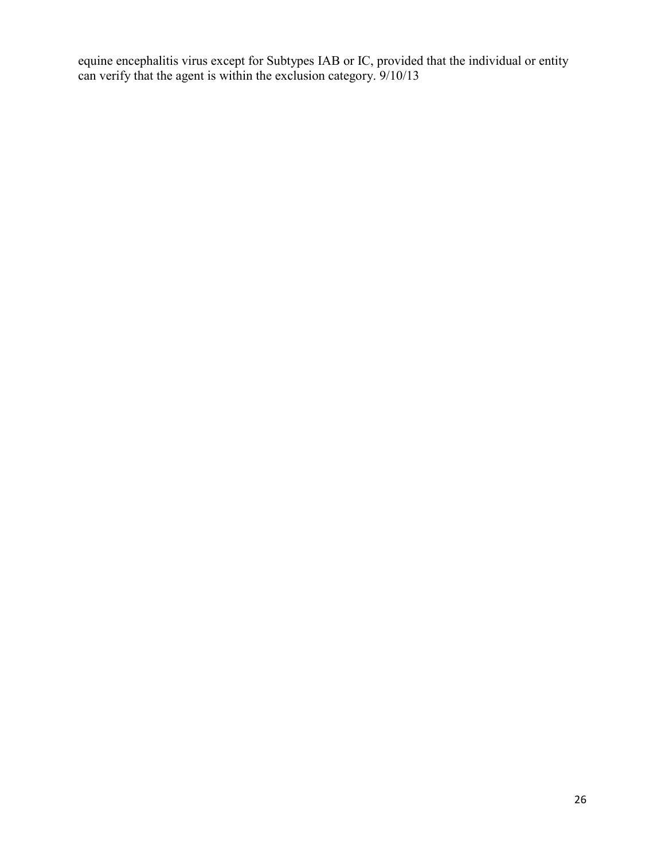equine encephalitis virus except for Subtypes IAB or IC, provided that the individual or entity can verify that the agent is within the exclusion category. 9/10/13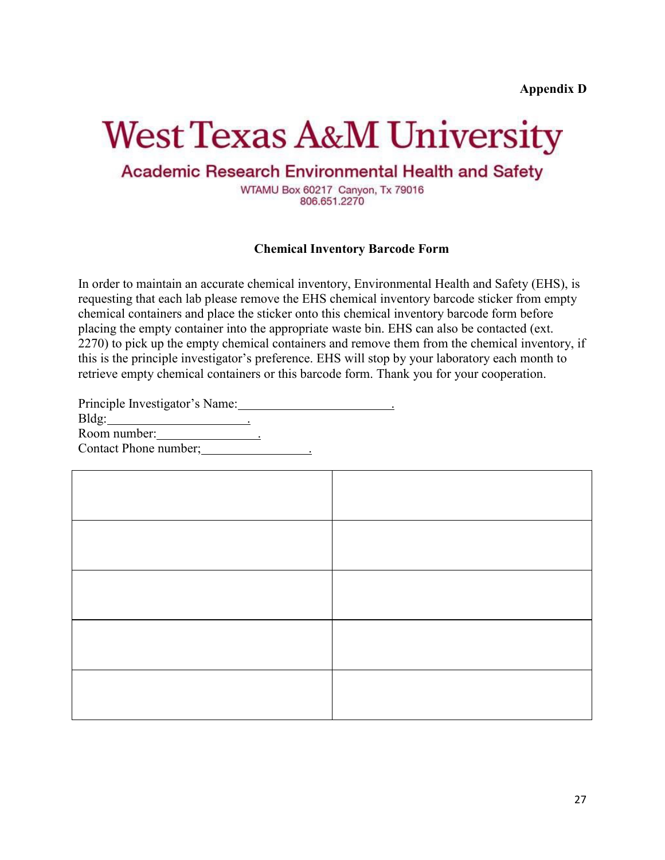**Appendix D**

# <span id="page-26-0"></span>**West Texas A&M University**

# Academic Research Environmental Health and Safety

WTAMU Box 60217 Canyon, Tx 79016 806.651.2270

#### **Chemical Inventory Barcode Form**

<span id="page-26-1"></span>In order to maintain an accurate chemical inventory, Environmental Health and Safety (EHS), is requesting that each lab please remove the EHS chemical inventory barcode sticker from empty chemical containers and place the sticker onto this chemical inventory barcode form before placing the empty container into the appropriate waste bin. EHS can also be contacted (ext. 2270) to pick up the empty chemical containers and remove them from the chemical inventory, if this is the principle investigator's preference. EHS will stop by your laboratory each month to retrieve empty chemical containers or this barcode form. Thank you for your cooperation.

| Principle Investigator's Name: |  |  |
|--------------------------------|--|--|
| Bldg:                          |  |  |
| Room number:                   |  |  |
| Contact Phone number;          |  |  |

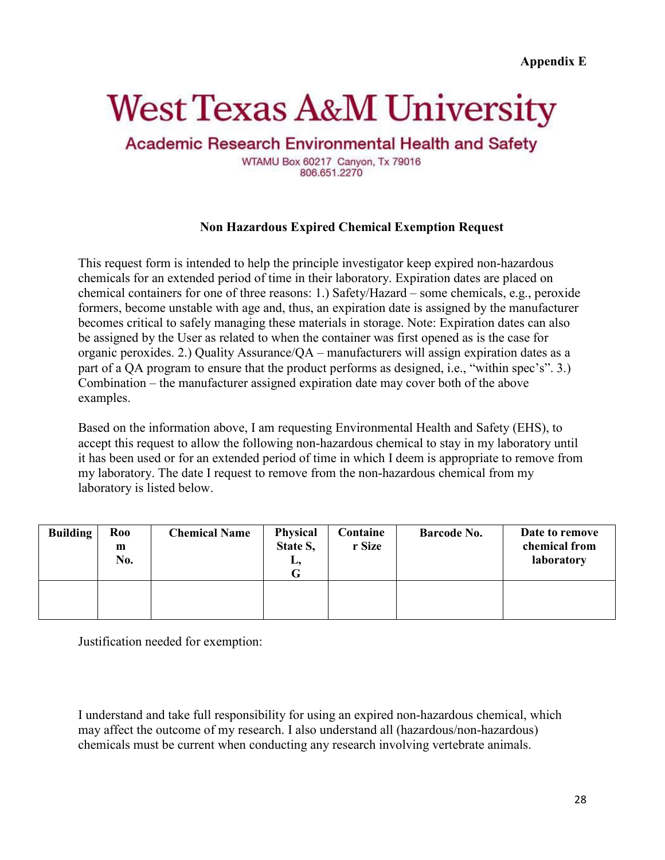**Appendix E**

# <span id="page-27-0"></span>**West Texas A&M University**

**Academic Research Environmental Health and Safety** 

WTAMU Box 60217 Canyon, Tx 79016 806.651.2270

# **Non Hazardous Expired Chemical Exemption Request**

<span id="page-27-1"></span>This request form is intended to help the principle investigator keep expired non-hazardous chemicals for an extended period of time in their laboratory. Expiration dates are placed on chemical containers for one of three reasons: 1.) Safety/Hazard – some chemicals, e.g., peroxide formers, become unstable with age and, thus, an expiration date is assigned by the manufacturer becomes critical to safely managing these materials in storage. Note: Expiration dates can also be assigned by the User as related to when the container was first opened as is the case for organic peroxides. 2.) Quality Assurance/QA – manufacturers will assign expiration dates as a part of a QA program to ensure that the product performs as designed, i.e., "within spec's". 3.) Combination – the manufacturer assigned expiration date may cover both of the above examples.

Based on the information above, I am requesting Environmental Health and Safety (EHS), to accept this request to allow the following non-hazardous chemical to stay in my laboratory until it has been used or for an extended period of time in which I deem is appropriate to remove from my laboratory. The date I request to remove from the non-hazardous chemical from my laboratory is listed below.

| <b>Building</b> | Roo<br>m<br>No. | <b>Chemical Name</b> | <b>Physical</b><br>State S,<br>⊥, | Containe<br>r Size | Barcode No. | Date to remove<br>chemical from<br>laboratory |
|-----------------|-----------------|----------------------|-----------------------------------|--------------------|-------------|-----------------------------------------------|
|                 |                 |                      |                                   |                    |             |                                               |

Justification needed for exemption:

I understand and take full responsibility for using an expired non-hazardous chemical, which may affect the outcome of my research. I also understand all (hazardous/non-hazardous) chemicals must be current when conducting any research involving vertebrate animals.